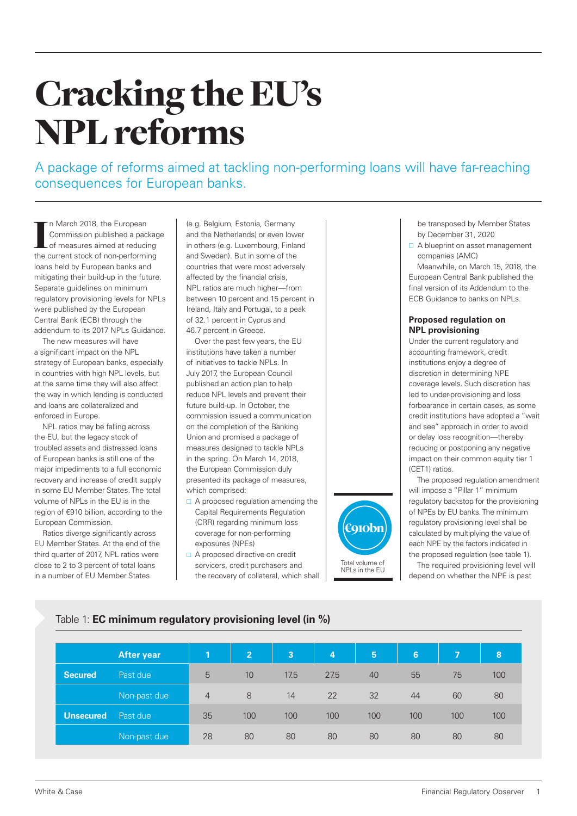# Cracking the EU's NPL reforms

A package of reforms aimed at tackling non-performing loans will have far-reaching consequences for European banks.

In March 2018, the European<br>Commission published a package<br>of measures aimed at reducing<br>the current stock of non-performing n March 2018, the European Commission published a package of measures aimed at reducing loans held by European banks and mitigating their build-up in the future. Separate guidelines on minimum regulatory provisioning levels for NPLs were published by the European Central Bank (ECB) through the addendum to its 2017 NPLs Guidance

The new measures will have a significant impact on the NPL strategy of European banks, especially in countries with high NPL levels, but at the same time they will also affect the way in which lending is conducted and loans are collateralized and enforced in Europe.

NPL ratios may be falling across the EU, but the legacy stock of troubled assets and distressed loans of European banks is still one of the major impediments to a full economic recovery and increase of credit supply in some EU Member States. The total volume of NPLs in the EU is in the region of €910 billion, according to the European Commission.

Ratios diverge significantly across EU Member States. At the end of the third quarter of 2017, NPL ratios were close to 2 to 3 percent of total loans in a number of EU Member States

(e.g. Belgium, Estonia, Germany and the Netherlands) or even lower in others (e.g. Luxembourg, Finland and Sweden). But in some of the countries that were most adversely affected by the financial crisis, NPL ratios are much higher—from between 10 percent and 15 percent in Ireland, Italy and Portugal, to a peak of 32.1 percent in Cyprus and 46.7 percent in Greece.

Over the past few years, the EU institutions have taken a number of initiatives to tackle NPLs. In July 2017, the European Council published an action plan to help reduce NPL levels and prevent their future build-up. In October, the commission issued a communication on the completion of the Banking Union and promised a package of measures designed to tackle NPLs in the spring. On March 14, 2018, the European Commission duly presented its package of measures, which comprised:

- $\Box$  A proposed regulation amending the Capital Requirements Regulation (CRR) regarding minimum loss coverage for non-performing exposures (NPEs)
- □ A proposed directive on credit servicers, credit purchasers and the recovery of collateral, which shall



be transposed by Member States by December 31, 2020

A blueprint on asset management companies (AMC)

Meanwhile, on March 15, 2018, the European Central Bank published the final version of its Addendum to the ECB Guidance to banks on NPLs.

### **Proposed regulation on NPL provisioning**

Under the current regulatory and accounting framework, credit institutions enjoy a degree of discretion in determining NPE coverage levels. Such discretion has led to under-provisioning and loss forbearance in certain cases, as some credit institutions have adopted a "wait and see" approach in order to avoid or delay loss recognition—thereby reducing or postponing any negative impact on their common equity tier 1 (CET1) ratios.

The proposed regulation amendment will impose a "Pillar 1" minimum regulatory backstop for the provisioning of NPEs by EU banks. The minimum regulatory provisioning level shall be calculated by multiplying the value of each NPE by the factors indicated in the proposed regulation (see table 1).

The required provisioning level will depend on whether the NPE is past

# Table 1: **EC minimum regulatory provisioning level (in %)**

|                | After year   | Т              | $\overline{2}$ | $\overline{3}$ | 4    | 5   | 6   | <b>17</b> | 8   |
|----------------|--------------|----------------|----------------|----------------|------|-----|-----|-----------|-----|
| <b>Secured</b> | Past due     | 5              | 10             | 17.5           | 27.5 | 40  | 55  | 75        | 100 |
|                | Non-past due | $\overline{4}$ | 8              | 14             | 22   | 32  | 44  | 60        | 80  |
| Unsecured      | Past due     | 35             | 100            | 100            | 100  | 100 | 100 | 100       | 100 |
|                | Non-past due | 28             | 80             | 80             | 80   | 80  | 80  | 80        | 80  |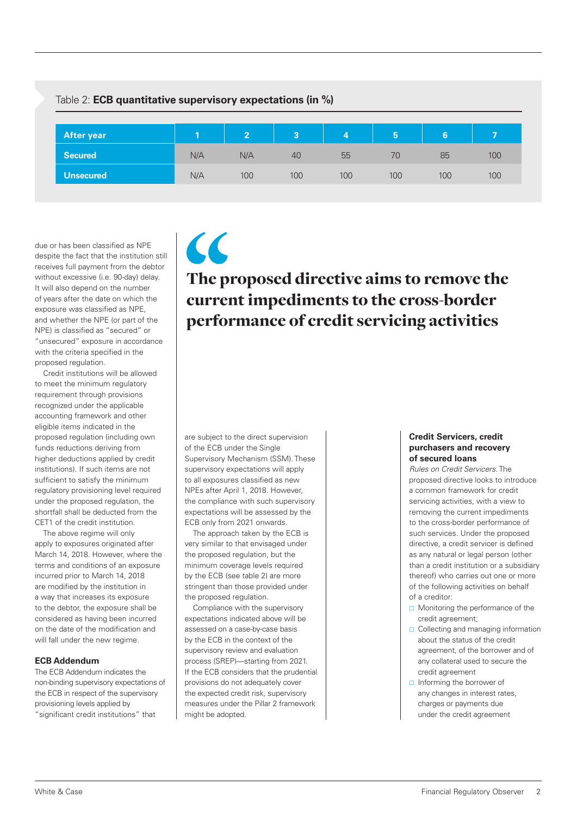# Table 2: **ECB quantitative supervisory expectations (in %) After year 1 2 3 4 5 6 7 Secured** N/A N/A 40 55 70 85 100 **Unsecured** N/A 100 100 100 100 100 100

due or has been classified as NPE despite the fact that the institution still receives full payment from the debtor without excessive (i.e. 90-day) delay. It will also depend on the number of years after the date on which the exposure was classified as NPE, and whether the NPE (or part of the NPE) is classified as "secured" or "unsecured" exposure in accordance with the criteria specified in the proposed regulation.

Credit institutions will be allowed to meet the minimum regulatory requirement through provisions recognized under the applicable accounting framework and other eligible items indicated in the proposed regulation (including own funds reductions deriving from higher deductions applied by credit institutions). If such items are not sufficient to satisfy the minimum regulatory provisioning level required under the proposed regulation, the shortfall shall be deducted from the CET1 of the credit institution.

The above regime will only apply to exposures originated after March 14, 2018. However, where the terms and conditions of an exposure incurred prior to March 14, 2018 are modified by the institution in a way that increases its exposure to the debtor, the exposure shall be considered as having been incurred on the date of the modification and will fall under the new regime.

# **ECB Addendum**

The ECB Addendum indicates the non-binding supervisory expectations of the ECB in respect of the supervisory provisioning levels applied by "significant credit institutions" that

# The proposed directive aims to remove the current impediments to the cross-border performance of credit servicing activities

are subject to the direct supervision of the ECB under the Single Supervisory Mechanism (SSM). These supervisory expectations will apply to all exposures classified as new NPEs after April 1, 2018. However, the compliance with such supervisory expectations will be assessed by the ECB only from 2021 onwards.

 $\epsilon$ 

The approach taken by the ECB is very similar to that envisaged under the proposed regulation, but the minimum coverage levels required by the ECB (see table 2) are more stringent than those provided under the proposed regulation.

Compliance with the supervisory expectations indicated above will be assessed on a case-by-case basis by the ECB in the context of the supervisory review and evaluation process (SREP)—starting from 2021. If the ECB considers that the prudential provisions do not adequately cover the expected credit risk, supervisory measures under the Pillar 2 framework might be adopted.

### **Credit Servicers, credit purchasers and recovery of secured loans**

*Rules on Credit Servicers.* The proposed directive looks to introduce a common framework for credit servicing activities, with a view to removing the current impediments to the cross-border performance of such services. Under the proposed directive, a credit servicer is defined as any natural or legal person (other than a credit institution or a subsidiary thereof) who carries out one or more of the following activities on behalf of a creditor:

- $\Box$  Monitoring the performance of the credit agreement;
- $\Box$  Collecting and managing information about the status of the credit agreement, of the borrower and of any collateral used to secure the credit agreement
- $\Box$  Informing the borrower of any changes in interest rates, charges or payments due under the credit agreement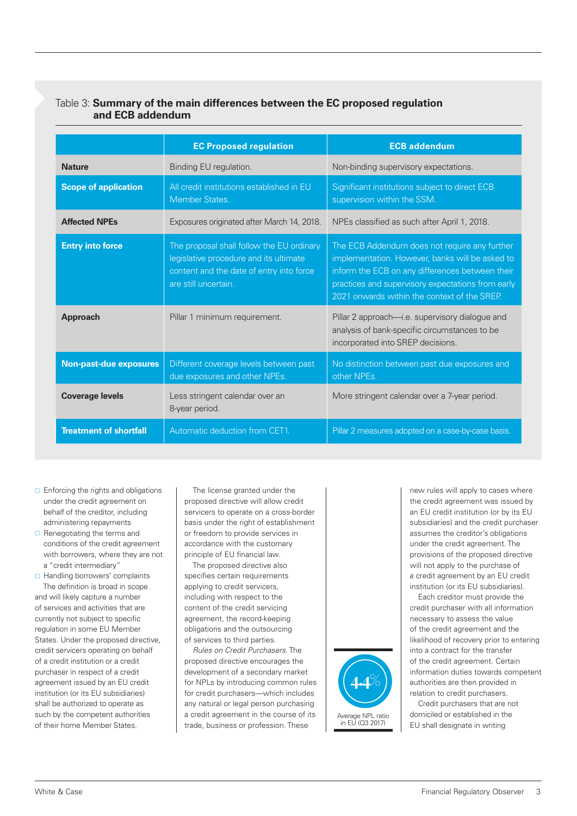# Table 3: **Summary of the main differences between the EC proposed regulation and ECB addendum**

|                               | <b>EC Proposed regulation</b>                                                                                                                           | <b>ECB addendum</b>                                                                                                                                                                                                                                      |
|-------------------------------|---------------------------------------------------------------------------------------------------------------------------------------------------------|----------------------------------------------------------------------------------------------------------------------------------------------------------------------------------------------------------------------------------------------------------|
| <b>Nature</b>                 | Binding EU regulation.                                                                                                                                  | Non-binding supervisory expectations.                                                                                                                                                                                                                    |
| <b>Scope of application</b>   | All credit institutions established in EU<br>Member States.                                                                                             | Significant institutions subject to direct ECB<br>supervision within the SSM.                                                                                                                                                                            |
| <b>Affected NPEs</b>          | Exposures originated after March 14, 2018.                                                                                                              | NPEs classified as such after April 1, 2018.                                                                                                                                                                                                             |
| <b>Entry into force</b>       | The proposal shall follow the EU ordinary<br>legislative procedure and its ultimate<br>content and the date of entry into force<br>are still uncertain. | The ECB Addendum does not require any further<br>implementation. However, banks will be asked to<br>inform the ECB on any differences between their<br>practices and supervisory expectations from early<br>2021 onwards within the context of the SREP. |
| <b>Approach</b>               | Pillar 1 minimum requirement.                                                                                                                           | Pillar 2 approach—i.e. supervisory dialogue and<br>analysis of bank-specific circumstances to be<br>incorporated into SREP decisions.                                                                                                                    |
| <b>Non-past-due exposures</b> | Different coverage levels between past<br>due exposures and other NPEs.                                                                                 | No distinction between past due exposures and<br>other NPEs.                                                                                                                                                                                             |
| <b>Coverage levels</b>        | Less stringent calendar over an<br>8-year period.                                                                                                       | More stringent calendar over a 7-year period.                                                                                                                                                                                                            |
| <b>Treatment of shortfall</b> | Automatic deduction from CET1.                                                                                                                          | Pillar 2 measures adopted on a case-by-case basis.                                                                                                                                                                                                       |

- $\Box$  Enforcing the rights and obligations under the credit agreement on behalf of the creditor, including administering repayments
- $\Box$  Renegotiating the terms and conditions of the credit agreement with borrowers, where they are not a "credit intermediary"

□ Handling borrowers' complaints The definition is broad in scope and will likely capture a number of services and activities that are currently not subject to specific regulation in some EU Member States. Under the proposed directive, credit servicers operating on behalf of a credit institution or a credit purchaser in respect of a credit agreement issued by an EU credit institution (or its EU subsidiaries) shall be authorized to operate as such by the competent authorities of their home Member States.

The license granted under the proposed directive will allow credit servicers to operate on a cross-border basis under the right of establishment or freedom to provide services in accordance with the customary principle of EU financial law.

The proposed directive also specifies certain requirements applying to credit servicers, including with respect to the content of the credit servicing agreement, the record-keeping obligations and the outsourcing of services to third parties.

*Rules on Credit Purchasers*. The proposed directive encourages the development of a secondary market for NPLs by introducing common rules for credit purchasers—which includes any natural or legal person purchasing a credit agreement in the course of its trade, business or profession. These



new rules will apply to cases where the credit agreement was issued by an EU credit institution (or by its EU subsidiaries) and the credit purchaser assumes the creditor's obligations under the credit agreement. The provisions of the proposed directive will not apply to the purchase of a credit agreement by an EU credit institution (or its EU subsidiaries).

Each creditor must provide the credit purchaser with all information necessary to assess the value of the credit agreement and the likelihood of recovery prior to entering into a contract for the transfer of the credit agreement. Certain information duties towards competent authorities are then provided in relation to credit purchasers.

Credit purchasers that are not domiciled or established in the EU shall designate in writing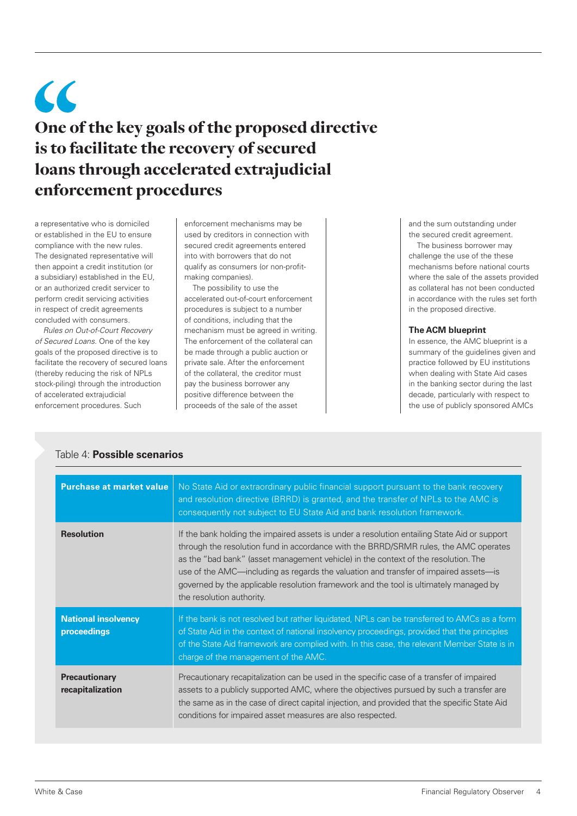# $\epsilon$ One of the key goals of the proposed directive is to facilitate the recovery of secured loans through accelerated extrajudicial enforcement procedures

a representative who is domiciled or established in the EU to ensure compliance with the new rules. The designated representative will then appoint a credit institution (or a subsidiary) established in the EU, or an authorized credit servicer to perform credit servicing activities in respect of credit agreements concluded with consumers.

*Rules on Out-of-Court Recovery of Secured Loans*. One of the key goals of the proposed directive is to facilitate the recovery of secured loans (thereby reducing the risk of NPLs stock-piling) through the introduction of accelerated extrajudicial enforcement procedures. Such

enforcement mechanisms may be used by creditors in connection with secured credit agreements entered into with borrowers that do not qualify as consumers (or non-profitmaking companies).

The possibility to use the accelerated out-of-court enforcement procedures is subject to a number of conditions, including that the mechanism must be agreed in writing. The enforcement of the collateral can be made through a public auction or private sale. After the enforcement of the collateral, the creditor must pay the business borrower any positive difference between the proceeds of the sale of the asset

and the sum outstanding under the secured credit agreement.

The business borrower may challenge the use of the these mechanisms before national courts where the sale of the assets provided as collateral has not been conducted in accordance with the rules set forth in the proposed directive.

# **The ACM blueprint**

In essence, the AMC blueprint is a summary of the guidelines given and practice followed by EU institutions when dealing with State Aid cases in the banking sector during the last decade, particularly with respect to the use of publicly sponsored AMCs

| <b>Purchase at market value</b>           | No State Aid or extraordinary public financial support pursuant to the bank recovery<br>and resolution directive (BRRD) is granted, and the transfer of NPLs to the AMC is<br>consequently not subject to EU State Aid and bank resolution framework.                                                                                                                                                                                                                                    |
|-------------------------------------------|------------------------------------------------------------------------------------------------------------------------------------------------------------------------------------------------------------------------------------------------------------------------------------------------------------------------------------------------------------------------------------------------------------------------------------------------------------------------------------------|
| <b>Resolution</b>                         | If the bank holding the impaired assets is under a resolution entailing State Aid or support<br>through the resolution fund in accordance with the BRRD/SRMR rules, the AMC operates<br>as the "bad bank" (asset management vehicle) in the context of the resolution. The<br>use of the AMC—including as regards the valuation and transfer of impaired assets—is<br>governed by the applicable resolution framework and the tool is ultimately managed by<br>the resolution authority. |
| <b>National insolvency</b><br>proceedings | If the bank is not resolved but rather liquidated, NPLs can be transferred to AMCs as a form<br>of State Aid in the context of national insolvency proceedings, provided that the principles<br>of the State Aid framework are complied with. In this case, the relevant Member State is in<br>charge of the management of the AMC.                                                                                                                                                      |
| <b>Precautionary</b><br>recapitalization  | Precautionary recapitalization can be used in the specific case of a transfer of impaired<br>assets to a publicly supported AMC, where the objectives pursued by such a transfer are<br>the same as in the case of direct capital injection, and provided that the specific State Aid<br>conditions for impaired asset measures are also respected.                                                                                                                                      |

# Table 4: **Possible scenarios**